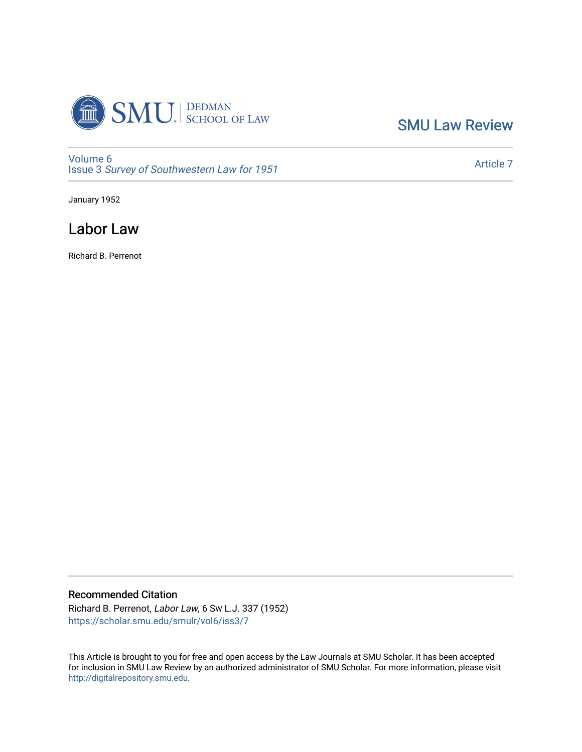

[SMU Law Review](https://scholar.smu.edu/smulr) 

[Volume 6](https://scholar.smu.edu/smulr/vol6) Issue 3 [Survey of Southwestern Law for 1951](https://scholar.smu.edu/smulr/vol6/iss3)

[Article 7](https://scholar.smu.edu/smulr/vol6/iss3/7) 

January 1952

# Labor Law

Richard B. Perrenot

## Recommended Citation

Richard B. Perrenot, Labor Law, 6 SW L.J. 337 (1952) [https://scholar.smu.edu/smulr/vol6/iss3/7](https://scholar.smu.edu/smulr/vol6/iss3/7?utm_source=scholar.smu.edu%2Fsmulr%2Fvol6%2Fiss3%2F7&utm_medium=PDF&utm_campaign=PDFCoverPages) 

This Article is brought to you for free and open access by the Law Journals at SMU Scholar. It has been accepted for inclusion in SMU Law Review by an authorized administrator of SMU Scholar. For more information, please visit [http://digitalrepository.smu.edu.](http://digitalrepository.smu.edu/)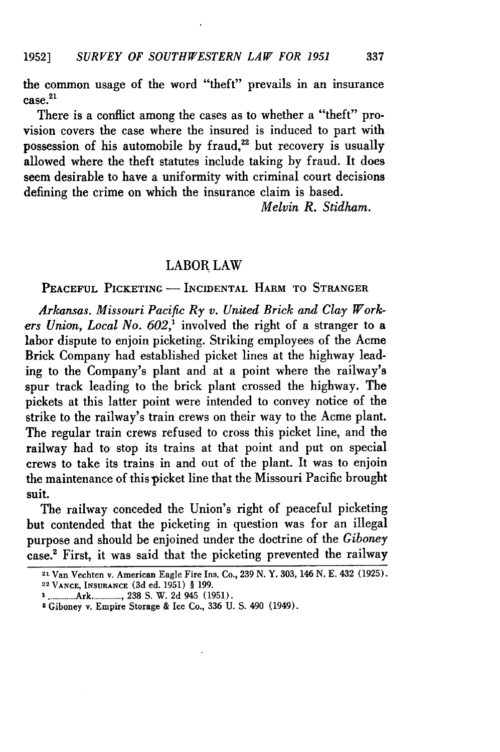the common usage of the word "theft" prevails in an insurance  $case.<sup>21</sup>$ 

There is a conflict among the cases as to whether a "theft" provision covers the case where the insured is induced to part with possession of his automobile by fraud, $22$  but recovery is usually allowed where the theft statutes include taking by fraud. It does seem desirable to have a uniformity with criminal court decisions defining the crime on which the insurance claim is based.

*Melvin R. Stidham.*

#### LABOR LAW

PEACEFUL PICKETING - INCIDENTAL HARM TO STRANGER

*Arkansas. Missouri Pacific Ry v. United Brick and Clay Workers Union, Local No. 602,'* involved the right of a stranger to a labor dispute to enjoin picketing. Striking employees of the Acme Brick Company had established picket lines at the highway leading to the Company's plant and at a point where the railway's spur track leading to the brick plant crossed the highway. The pickets at this latter point were intended to convey notice of the strike to the railway's train crews on their way to the Acme plant. The regular train crews refused to cross this picket line, and the railway had to stop its trains at that point and put on special crews to take its trains in and out of the plant. It was to enjoin the maintenance of this picket line that the Missouri Pacific brought suit.

The railway conceded the Union's right of peaceful picketing but contended that the picketing in question was for an illegal purpose and should be enjoined under the doctrine of the *Giboney* case.' First, it was said that the picketing prevented the railway

**<sup>21</sup>**Van Vechten v. American Eagle Fire Ins. Co., 239 **N.** Y. 303, 146 **N. E.** 432 **(1925).**

<sup>22</sup> **VANCE, INSURANCE (3d** ed. 1951) § 199.

**<sup>1</sup>**.-------- Ark ........ , 238 S. W . 2d 945 (1951).

**<sup>2</sup>** Giboney v. Empire Storage & Ice Co., 336 U. **S.** 490 (1949).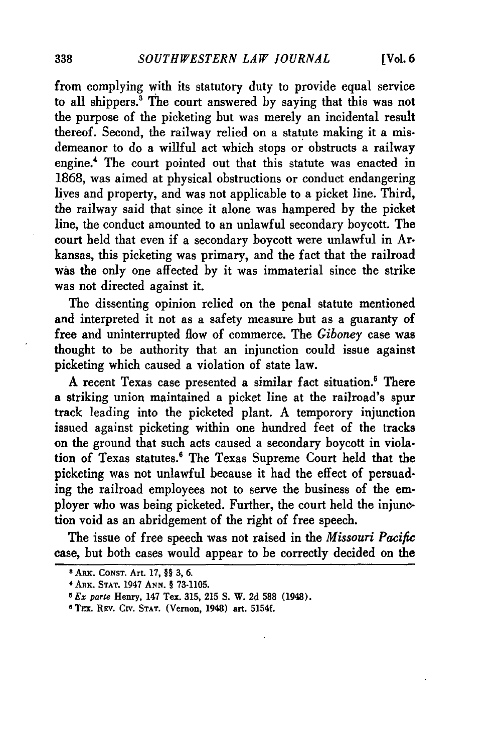from complying with its statutory duty to provide equal service to all shippers.<sup>3</sup> The court answered by saying that this was not the purpose of the picketing but was merely an incidental result thereof. Second, the railway relied on a statute making it a misdemeanor to do a willful act which stops or obstructs a railway engine.4 The court pointed out that this statute was enacted in 1868, was aimed at physical obstructions or conduct endangering lives and property, and was not applicable to a picket line. Third, the railway said that since it alone was hampered by the picket line, the conduct amounted to an unlawful secondary boycott. The court held that even if a secondary boycott were unlawful in Arkansas, this picketing was primary, and the fact that the railroad was the only one affected by it was immaterial since the strike was not directed against it.

The dissenting opinion relied on the penal statute mentioned and interpreted it not as a safety measure but as a guaranty of free and uninterrupted flow of commerce. The *Giboney* case was thought to be authority that an injunction could issue against picketing which caused a violation of state law.

A recent Texas case presented a similar fact situation.' There a striking union maintained a picket line at the railroad's spur track leading into the picketed plant. A temporory injunction issued against picketing within one hundred feet of the tracks on the ground that such acts caused a secondary boycott in viola. tion of Texas statutes.<sup>6</sup> The Texas Supreme Court held that the picketing was not unlawful because it had the effect of persuading the railroad employees not to serve the business of the employer who was being picketed. Further, the court held the injunction void as an abridgement of the right of free speech.

The issue of free speech was not raised in the *Missouri Pacific* case, but both cases would appear to be correctly decided on the

**<sup>8</sup>** ARK. CONST. Art. **17,** §§ **3, 6.**

**<sup>&#</sup>x27;** ARK. **STAT.** 1947 ArN. § 73-1105.

*<sup>5</sup> Ex parte* Henry, 147 Tex. 315, 215 S. W. 2d **588** (1948).

**<sup>6</sup>** TEx. REv. CrV. **STAT.** (Vernon, 1948) art. 5154f.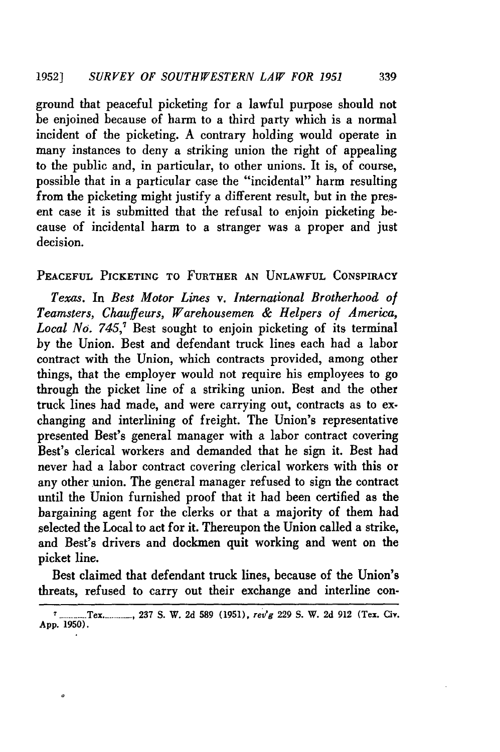ground that peaceful picketing for a lawful purpose should not be enjoined because of harm to a third party which is a normal incident of the picketing. A contrary holding would operate in many instances to deny a striking union the right of appealing to the public and, in particular, to other unions. It is, of course, possible that in a particular case the "incidental" harm resulting from the picketing might justify a different result, but in the present case it is submitted that the refusal to enjoin picketing because of incidental harm to a stranger was a proper and just decision.

### **PEACEFUL** PICKETING TO FURTHER **AN UNLAWFUL** CONSPIRACY

*Texas.* In *Best Motor Lines v. International Brotherhood of Teamsters, Chauffeurs, Warehousemen & Helpers of America, Local No. 745,7* Best sought to enjoin picketing of its terminal by the Union. Best and defendant truck lines each had a labor contract with the Union, which contracts provided, among other things, that the employer would not require his employees to go through the picket line of a striking union. Best and the other truck lines had made, and were carrying out, contracts as to exchanging and interlining of freight. The Union's representative presented Best's general manager with a labor contract covering Best's clerical workers and demanded that **he** sign it. Best had never had a labor contract covering clerical workers with this or any other union. The general manager refused to sign the contract until the Union furnished proof that it had been certified as the bargaining agent for the clerks or that a majority of them had selected the Local to act for it. Thereupon the Union called a strike, and Best's drivers and dockmen quit working and went on the picket line.

Best claimed that defendant truck lines, because of the Union's threats, refused to carry out their exchange and interline con-

*<sup>7</sup>* **---------** Tex-.\_\_\_\_\_, **237 S.** W. **2d 589 (1951),** rev'g **229 S.** W. **2d 912** (Tex. Civ. **App. 1950).**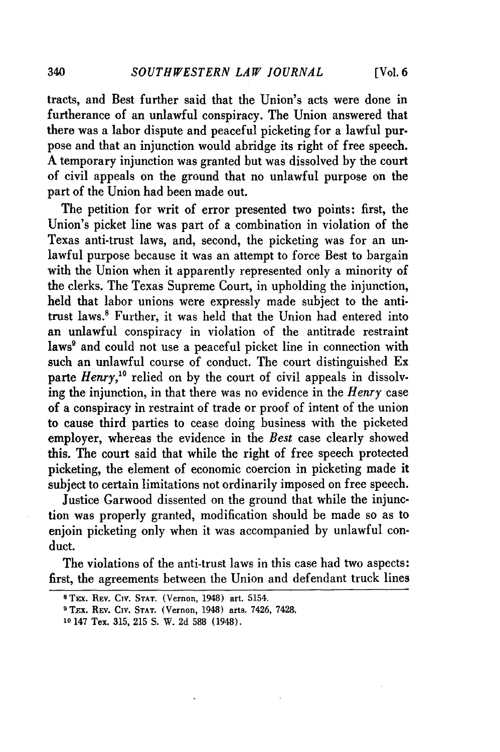tracts, and Best further said that the Union's acts were done in furtherance of an unlawful conspiracy. The Union answered that there was a labor dispute and peaceful picketing for a lawful purpose and that an injunction would abridge its right of free speech. A temporary injunction was granted but was dissolved by the court of civil appeals on the ground that no unlawful purpose on the part of the Union had been made out.

The petition for writ of error presented two points: first, the Union's picket line was part of a combination in violation of the Texas anti-trust laws, and, second, the picketing was for an unlawful purpose because it was an attempt to force Best to bargain with the Union when it apparently represented only a minority of the clerks. The Texas Supreme Court, in upholding the injunction, held that labor unions were expressly made subject to the antitrust laws.<sup>8</sup> Further, it was held that the Union had entered into an unlawful conspiracy in violation of the antitrade restraint laws<sup>9</sup> and could not use a peaceful picket line in connection with such an unlawful course of conduct. The court distinguished Ex parte *Henry*,<sup>10</sup> relied on by the court of civil appeals in dissolving the injunction, in that there was no evidence in the *Henry* case of a conspiracy in restraint of trade or proof of intent of the union to cause third parties to cease doing business with the picketed employer, whereas the evidence in the *Best* case clearly showed this. The court said that while the right of free speech protected picketing, the element of economic coercion in picketing made it subject to certain limitations not ordinarily imposed on free speech.

Justice Garwood dissented on the ground that while the injunction was properly granted, modification should be made so as to enjoin picketing only when it was accompanied by unlawful conduct.

The violations of the anti-trust laws in this case had two aspects: first, the agreements between the Union and defendant truck lines

**<sup>8</sup>** TE:x. **REV.** Cv. **STAT.** (Vernon, 1948) art. 5154.

<sup>&</sup>lt;sup>9</sup> TEX. REV. CIV. STAT. (Vernon, 1948) arts. 7426, 7428.

**<sup>10</sup>** 147 Tex. 315, 215 S. W. 2d 588 (1948).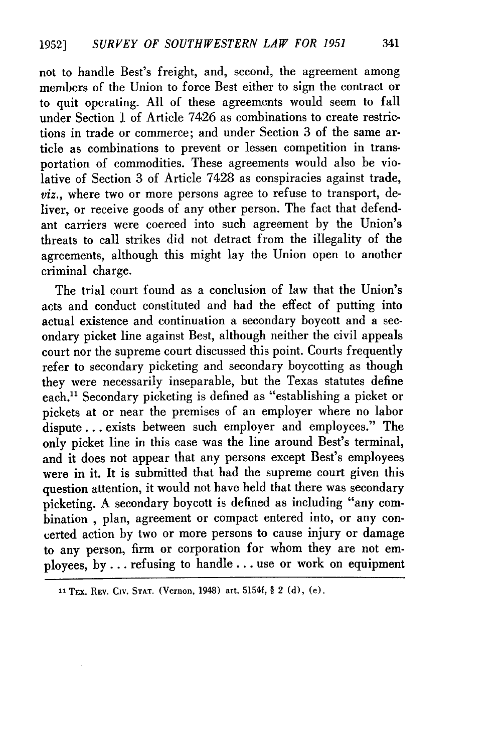not to handle Best's freight, and, second, the agreement among members of the Union to force Best either to sign the contract or to quit operating. **All** of these agreements would seem to fall under Section 1 of Article 7426 as combinations to create restrictions in trade or commerce; and under Section 3 of the same article as combinations to prevent or lessen competition in transportation of commodities. These agreements would also be violative of Section 3 of Article 7428 as conspiracies against trade, *viz.,* where two or more persons agree to refuse to transport, deliver, or receive goods of any other person. The fact that defendant carriers were coerced into such agreement by the Union's threats to call strikes did not detract from the illegality of the agreements, although this might lay the Union open to another criminal charge.

The trial court found as a conclusion of law that the Union's acts and conduct constituted and had the effect of putting into actual existence and continuation a secondary boycott and a secondary picket line against Best, although neither the civil appeals court nor the supreme court discussed this point. Courts frequently refer to secondary picketing and secondary boycotting as though they were necessarily inseparable, but the Texas statutes define each.'1 Secondary picketing is defined as "establishing a picket or pickets at or near the premises of an employer where no labor dispute.., exists between such employer and employees." The only picket line in this case was the line around Best's terminal, and it does not appear that any persons except Best's employees were in it. It is submitted that had the supreme court given this question attention, it would not have held that there was secondary picketing. A secondary boycott is defined as including "any combination **,** plan, agreement or compact entered into, or any concerted action by two or more persons to cause injury or damage to any person, firm or corporation for whom they are not employees, by... refusing to handle **...** use or work on equipment

**<sup>11</sup>** TEx. REv. CIv. **STAT.** (Vernon, 1948) art. 5154f, § 2 (d), (e).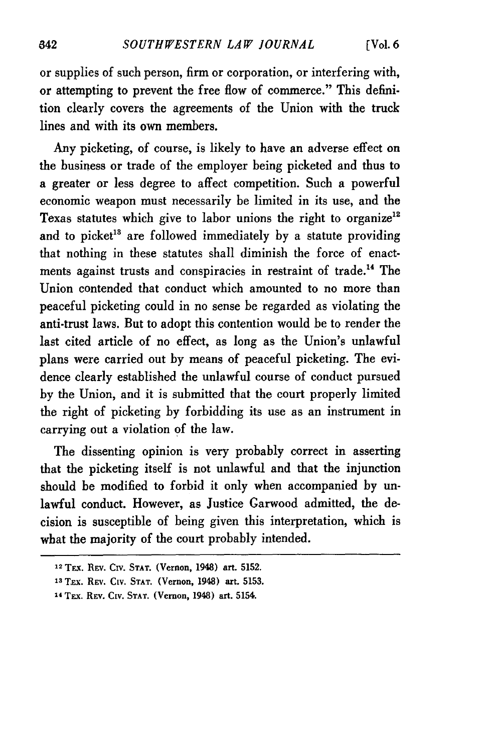or supplies of such person, firm or corporation, or interfering with, or attempting to prevent the free flow of commerce." This definition clearly covers the agreements of the Union with the truck lines and with its own members.

Any picketing, of course, is likely to have an adverse effect on the business or trade of the employer being picketed and thus to a greater or less degree to affect competition. Such a powerful economic weapon must necessarily be limited in its use, and the Texas statutes which give to labor unions the right to organize<sup>12</sup> and to picket<sup>18</sup> are followed immediately by a statute providing that nothing in these statutes shall diminish the force of enactments against trusts and conspiracies in restraint of trade.'4 The Union contended that conduct which amounted to no more than peaceful picketing could in no sense be regarded as violating the anti-trust laws. But to adopt this contention would be to render the last cited article of no effect, as long as the Union's unlawful plans were carried out by means of peaceful picketing. The evidence clearly established the unlawful course of conduct pursued by the Union, and it is submitted that the court properly limited the right of picketing by forbidding its use as an instrument in carrying out a violation of the law.

The dissenting opinion is very probably correct in asserting that the picketing itself is not unlawful and that the injunction should be modified to forbid it only when accompanied by unlawful conduct. However, as Justice Garwood admitted, the decision is susceptible of being given this interpretation, which is what the majority of the court probably intended.

**<sup>12</sup> TFx.** REv. Civ. **STAT.** (Vernon, 1948) art. **5152.**

**<sup>13</sup>**Thx. REv. **CIV. STAT.** (Vernon, 1948) art. 5153.

<sup>14</sup> TEX. REV. CIV. STAT. (Vernon, 1948) art. 5154.